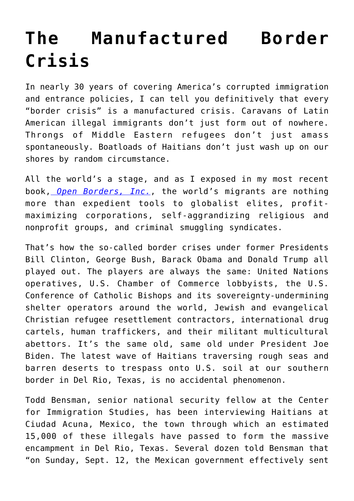## **[The Manufactured Border](https://intellectualtakeout.org/2021/09/the-manufactured-border-crisis/) [Crisis](https://intellectualtakeout.org/2021/09/the-manufactured-border-crisis/)**

In nearly 30 years of covering America's corrupted immigration and entrance policies, I can tell you definitively that every "border crisis" is a manufactured crisis. Caravans of Latin American illegal immigrants don't just form out of nowhere. Throngs of Middle Eastern refugees don't just amass spontaneously. Boatloads of Haitians don't just wash up on our shores by random circumstance.

All the world's a stage, and as I exposed in my most recent book, *[Open Borders, Inc.](https://www.amazon.com/gp/product/1621579719/ref=as_li_qf_asin_il_tl?ie=UTF8&tag=intelltakeo0d-20&creative=9325&linkCode=as2&creativeASIN=1621579719&linkId=6851a063c23a89158ca8443cf881378e)*, the world's migrants are nothing more than expedient tools to globalist elites, profitmaximizing corporations, self-aggrandizing religious and nonprofit groups, and criminal smuggling syndicates.

That's how the so-called border crises under former Presidents Bill Clinton, George Bush, Barack Obama and Donald Trump all played out. The players are always the same: United Nations operatives, U.S. Chamber of Commerce lobbyists, the U.S. Conference of Catholic Bishops and its sovereignty-undermining shelter operators around the world, Jewish and evangelical Christian refugee resettlement contractors, international drug cartels, human traffickers, and their militant multicultural abettors. It's the same old, same old under President Joe Biden. The latest wave of Haitians traversing rough seas and barren deserts to trespass onto U.S. soil at our southern border in Del Rio, Texas, is no accidental phenomenon.

Todd Bensman, senior national security fellow at the Center for Immigration Studies, has been interviewing Haitians at Ciudad Acuna, Mexico, the town through which an estimated 15,000 of these illegals have passed to form the massive encampment in Del Rio, Texas. Several dozen told Bensman that "on Sunday, Sept. 12, the Mexican government effectively sent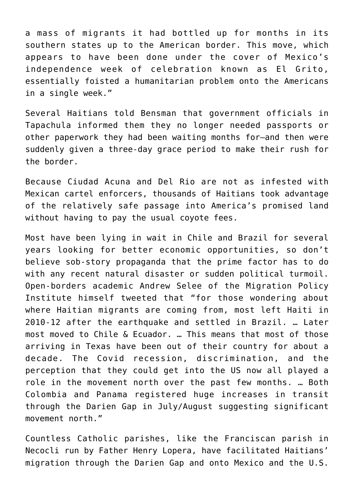a mass of migrants it had bottled up for months in its southern states up to the American border. This move, which appears to have been done under the cover of Mexico's independence week of celebration known as El Grito, essentially foisted a humanitarian problem onto the Americans in a single week."

Several Haitians told Bensman that government officials in Tapachula informed them they no longer needed passports or other paperwork they had been waiting months for—and then were suddenly given a three-day grace period to make their rush for the border.

Because Ciudad Acuna and Del Rio are not as infested with Mexican cartel enforcers, thousands of Haitians took advantage of the relatively safe passage into America's promised land without having to pay the usual coyote fees.

Most have been lying in wait in Chile and Brazil for several years looking for better economic opportunities, so don't believe sob-story propaganda that the prime factor has to do with any recent natural disaster or sudden political turmoil. Open-borders academic Andrew Selee of the Migration Policy Institute himself tweeted that "for those wondering about where Haitian migrants are coming from, most left Haiti in 2010-12 after the earthquake and settled in Brazil. … Later most moved to Chile & Ecuador. … This means that most of those arriving in Texas have been out of their country for about a decade. The Covid recession, discrimination, and the perception that they could get into the US now all played a role in the movement north over the past few months. … Both Colombia and Panama registered huge increases in transit through the Darien Gap in July/August suggesting significant movement north."

Countless Catholic parishes, like the Franciscan parish in Necocli run by Father Henry Lopera, have facilitated Haitians' migration through the Darien Gap and onto Mexico and the U.S.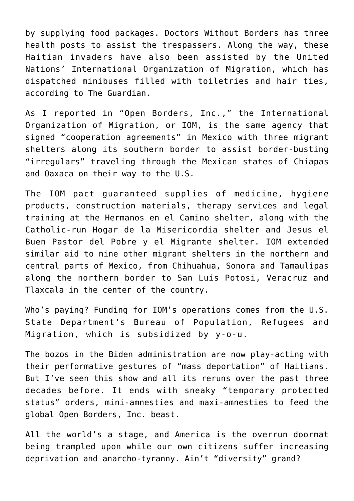by supplying food packages. Doctors Without Borders has three health posts to assist the trespassers. Along the way, these Haitian invaders have also been assisted by the United Nations' International Organization of Migration, which has dispatched minibuses filled with toiletries and hair ties, according to The Guardian.

As I reported in "Open Borders, Inc.," the International Organization of Migration, or IOM, is the same agency that signed "cooperation agreements" in Mexico with three migrant shelters along its southern border to assist border-busting "irregulars" traveling through the Mexican states of Chiapas and Oaxaca on their way to the U.S.

The IOM pact guaranteed supplies of medicine, hygiene products, construction materials, therapy services and legal training at the Hermanos en el Camino shelter, along with the Catholic-run Hogar de la Misericordia shelter and Jesus el Buen Pastor del Pobre y el Migrante shelter. IOM extended similar aid to nine other migrant shelters in the northern and central parts of Mexico, from Chihuahua, Sonora and Tamaulipas along the northern border to San Luis Potosi, Veracruz and Tlaxcala in the center of the country.

Who's paying? Funding for IOM's operations comes from the U.S. State Department's Bureau of Population, Refugees and Migration, which is subsidized by y-o-u.

The bozos in the Biden administration are now play-acting with their performative gestures of "mass deportation" of Haitians. But I've seen this show and all its reruns over the past three decades before. It ends with sneaky "temporary protected status" orders, mini-amnesties and maxi-amnesties to feed the global Open Borders, Inc. beast.

All the world's a stage, and America is the overrun doormat being trampled upon while our own citizens suffer increasing deprivation and anarcho-tyranny. Ain't "diversity" grand?